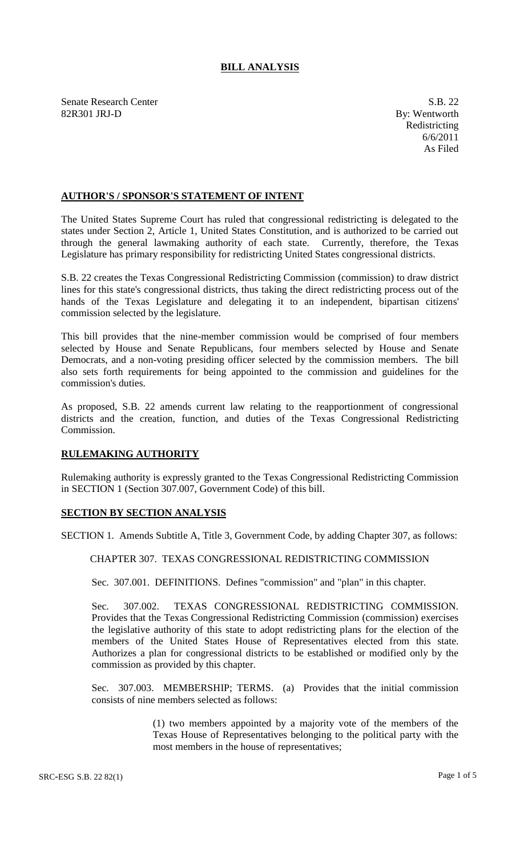## **BILL ANALYSIS**

Senate Research Center S.B. 22 82R301 JRJ-D By: Wentworth

Redistricting 6/6/2011 As Filed

## **AUTHOR'S / SPONSOR'S STATEMENT OF INTENT**

The United States Supreme Court has ruled that congressional redistricting is delegated to the states under Section 2, Article 1, United States Constitution, and is authorized to be carried out through the general lawmaking authority of each state. Currently, therefore, the Texas Legislature has primary responsibility for redistricting United States congressional districts.

S.B. 22 creates the Texas Congressional Redistricting Commission (commission) to draw district lines for this state's congressional districts, thus taking the direct redistricting process out of the hands of the Texas Legislature and delegating it to an independent, bipartisan citizens' commission selected by the legislature.

This bill provides that the nine-member commission would be comprised of four members selected by House and Senate Republicans, four members selected by House and Senate Democrats, and a non-voting presiding officer selected by the commission members. The bill also sets forth requirements for being appointed to the commission and guidelines for the commission's duties.

As proposed, S.B. 22 amends current law relating to the reapportionment of congressional districts and the creation, function, and duties of the Texas Congressional Redistricting Commission.

## **RULEMAKING AUTHORITY**

Rulemaking authority is expressly granted to the Texas Congressional Redistricting Commission in SECTION 1 (Section 307.007, Government Code) of this bill.

## **SECTION BY SECTION ANALYSIS**

SECTION 1. Amends Subtitle A, Title 3, Government Code, by adding Chapter 307, as follows:

CHAPTER 307. TEXAS CONGRESSIONAL REDISTRICTING COMMISSION

Sec. 307.001. DEFINITIONS. Defines "commission" and "plan" in this chapter.

Sec. 307.002. TEXAS CONGRESSIONAL REDISTRICTING COMMISSION. Provides that the Texas Congressional Redistricting Commission (commission) exercises the legislative authority of this state to adopt redistricting plans for the election of the members of the United States House of Representatives elected from this state. Authorizes a plan for congressional districts to be established or modified only by the commission as provided by this chapter.

Sec. 307.003. MEMBERSHIP; TERMS. (a) Provides that the initial commission consists of nine members selected as follows:

> (1) two members appointed by a majority vote of the members of the Texas House of Representatives belonging to the political party with the most members in the house of representatives;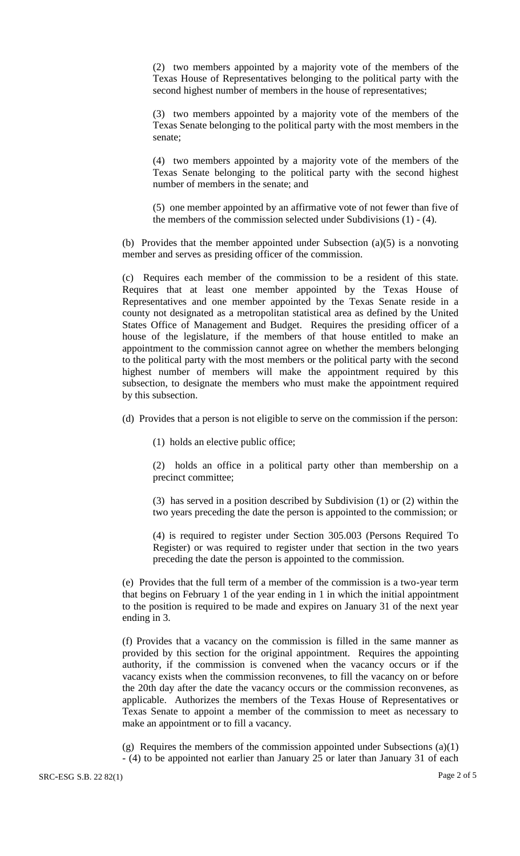(2) two members appointed by a majority vote of the members of the Texas House of Representatives belonging to the political party with the second highest number of members in the house of representatives;

(3) two members appointed by a majority vote of the members of the Texas Senate belonging to the political party with the most members in the senate;

(4) two members appointed by a majority vote of the members of the Texas Senate belonging to the political party with the second highest number of members in the senate; and

(5) one member appointed by an affirmative vote of not fewer than five of the members of the commission selected under Subdivisions (1) - (4).

(b) Provides that the member appointed under Subsection (a)(5) is a nonvoting member and serves as presiding officer of the commission.

(c) Requires each member of the commission to be a resident of this state. Requires that at least one member appointed by the Texas House of Representatives and one member appointed by the Texas Senate reside in a county not designated as a metropolitan statistical area as defined by the United States Office of Management and Budget. Requires the presiding officer of a house of the legislature, if the members of that house entitled to make an appointment to the commission cannot agree on whether the members belonging to the political party with the most members or the political party with the second highest number of members will make the appointment required by this subsection, to designate the members who must make the appointment required by this subsection.

(d) Provides that a person is not eligible to serve on the commission if the person:

(1) holds an elective public office;

(2) holds an office in a political party other than membership on a precinct committee;

(3) has served in a position described by Subdivision (1) or (2) within the two years preceding the date the person is appointed to the commission; or

(4) is required to register under Section 305.003 (Persons Required To Register) or was required to register under that section in the two years preceding the date the person is appointed to the commission.

(e) Provides that the full term of a member of the commission is a two-year term that begins on February 1 of the year ending in 1 in which the initial appointment to the position is required to be made and expires on January 31 of the next year ending in 3.

(f) Provides that a vacancy on the commission is filled in the same manner as provided by this section for the original appointment. Requires the appointing authority, if the commission is convened when the vacancy occurs or if the vacancy exists when the commission reconvenes, to fill the vacancy on or before the 20th day after the date the vacancy occurs or the commission reconvenes, as applicable. Authorizes the members of the Texas House of Representatives or Texas Senate to appoint a member of the commission to meet as necessary to make an appointment or to fill a vacancy.

(g) Requires the members of the commission appointed under Subsections  $(a)(1)$ - (4) to be appointed not earlier than January 25 or later than January 31 of each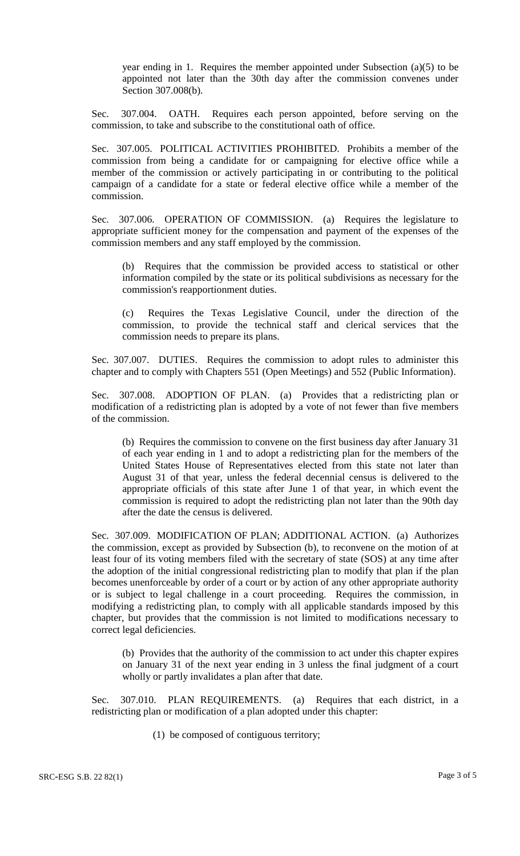year ending in 1. Requires the member appointed under Subsection (a)(5) to be appointed not later than the 30th day after the commission convenes under Section 307.008(b).

Sec. 307.004. OATH. Requires each person appointed, before serving on the commission, to take and subscribe to the constitutional oath of office.

Sec. 307.005. POLITICAL ACTIVITIES PROHIBITED. Prohibits a member of the commission from being a candidate for or campaigning for elective office while a member of the commission or actively participating in or contributing to the political campaign of a candidate for a state or federal elective office while a member of the commission.

Sec. 307.006. OPERATION OF COMMISSION. (a) Requires the legislature to appropriate sufficient money for the compensation and payment of the expenses of the commission members and any staff employed by the commission.

(b) Requires that the commission be provided access to statistical or other information compiled by the state or its political subdivisions as necessary for the commission's reapportionment duties.

Requires the Texas Legislative Council, under the direction of the commission, to provide the technical staff and clerical services that the commission needs to prepare its plans.

Sec. 307.007. DUTIES. Requires the commission to adopt rules to administer this chapter and to comply with Chapters 551 (Open Meetings) and 552 (Public Information).

Sec. 307.008. ADOPTION OF PLAN. (a) Provides that a redistricting plan or modification of a redistricting plan is adopted by a vote of not fewer than five members of the commission.

(b) Requires the commission to convene on the first business day after January 31 of each year ending in 1 and to adopt a redistricting plan for the members of the United States House of Representatives elected from this state not later than August 31 of that year, unless the federal decennial census is delivered to the appropriate officials of this state after June 1 of that year, in which event the commission is required to adopt the redistricting plan not later than the 90th day after the date the census is delivered.

Sec. 307.009. MODIFICATION OF PLAN; ADDITIONAL ACTION. (a) Authorizes the commission, except as provided by Subsection (b), to reconvene on the motion of at least four of its voting members filed with the secretary of state (SOS) at any time after the adoption of the initial congressional redistricting plan to modify that plan if the plan becomes unenforceable by order of a court or by action of any other appropriate authority or is subject to legal challenge in a court proceeding. Requires the commission, in modifying a redistricting plan, to comply with all applicable standards imposed by this chapter, but provides that the commission is not limited to modifications necessary to correct legal deficiencies.

(b) Provides that the authority of the commission to act under this chapter expires on January 31 of the next year ending in 3 unless the final judgment of a court wholly or partly invalidates a plan after that date.

Sec. 307.010. PLAN REQUIREMENTS. (a) Requires that each district, in a redistricting plan or modification of a plan adopted under this chapter:

(1) be composed of contiguous territory;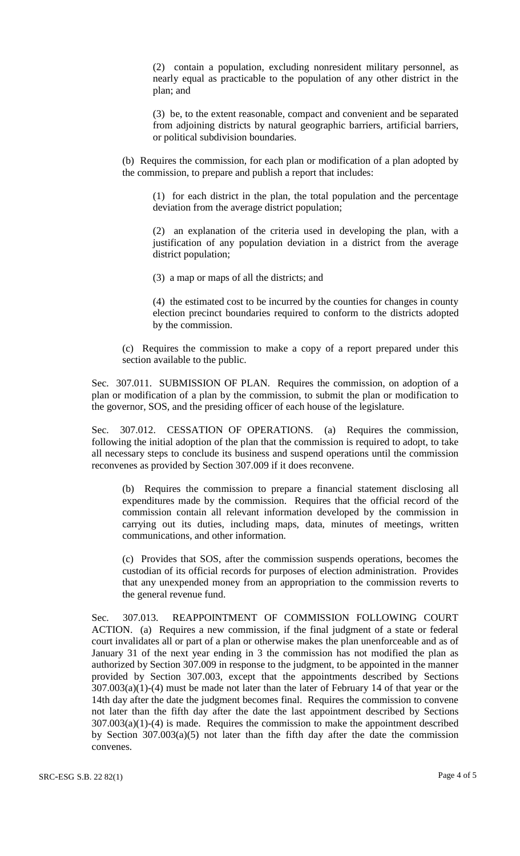(2) contain a population, excluding nonresident military personnel, as nearly equal as practicable to the population of any other district in the plan; and

(3) be, to the extent reasonable, compact and convenient and be separated from adjoining districts by natural geographic barriers, artificial barriers, or political subdivision boundaries.

(b) Requires the commission, for each plan or modification of a plan adopted by the commission, to prepare and publish a report that includes:

(1) for each district in the plan, the total population and the percentage deviation from the average district population;

(2) an explanation of the criteria used in developing the plan, with a justification of any population deviation in a district from the average district population;

(3) a map or maps of all the districts; and

(4) the estimated cost to be incurred by the counties for changes in county election precinct boundaries required to conform to the districts adopted by the commission.

(c) Requires the commission to make a copy of a report prepared under this section available to the public.

Sec. 307.011. SUBMISSION OF PLAN. Requires the commission, on adoption of a plan or modification of a plan by the commission, to submit the plan or modification to the governor, SOS, and the presiding officer of each house of the legislature.

Sec. 307.012. CESSATION OF OPERATIONS. (a) Requires the commission, following the initial adoption of the plan that the commission is required to adopt, to take all necessary steps to conclude its business and suspend operations until the commission reconvenes as provided by Section 307.009 if it does reconvene.

(b) Requires the commission to prepare a financial statement disclosing all expenditures made by the commission. Requires that the official record of the commission contain all relevant information developed by the commission in carrying out its duties, including maps, data, minutes of meetings, written communications, and other information.

(c) Provides that SOS, after the commission suspends operations, becomes the custodian of its official records for purposes of election administration. Provides that any unexpended money from an appropriation to the commission reverts to the general revenue fund.

Sec. 307.013. REAPPOINTMENT OF COMMISSION FOLLOWING COURT ACTION. (a) Requires a new commission, if the final judgment of a state or federal court invalidates all or part of a plan or otherwise makes the plan unenforceable and as of January 31 of the next year ending in 3 the commission has not modified the plan as authorized by Section 307.009 in response to the judgment, to be appointed in the manner provided by Section 307.003, except that the appointments described by Sections  $307.003(a)(1)-(4)$  must be made not later than the later of February 14 of that year or the 14th day after the date the judgment becomes final. Requires the commission to convene not later than the fifth day after the date the last appointment described by Sections  $307.003(a)(1)-(4)$  is made. Requires the commission to make the appointment described by Section 307.003(a)(5) not later than the fifth day after the date the commission convenes.